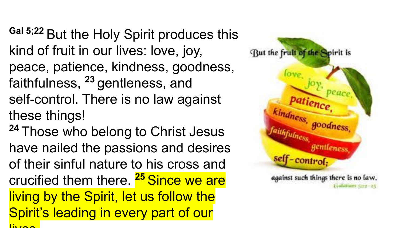**Gal 5;22** But the Holy Spirit produces this kind of fruit in our lives: love, joy, peace, patience, kindness, goodness, faithfulness, **<sup>23</sup>**gentleness, and self-control. There is no law against these things! **<sup>24</sup>**Those who belong to Christ Jesus

have nailed the passions and desires of their sinful nature to his cross and crucified them there. **<sup>25</sup>**Since we are living by the Spirit, let us follow the Spirit's leading in every part of our  $\lim_{\lambda \to \infty}$ 

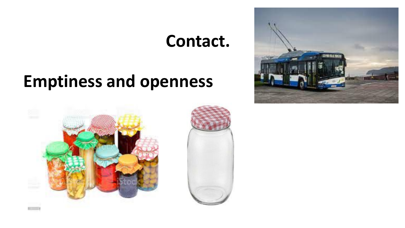## **Contact.**

## **Emptiness and openness**



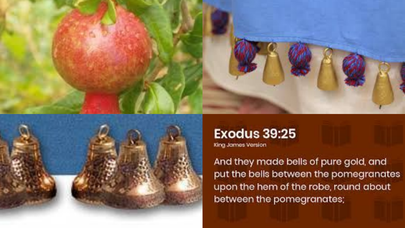

## **Exodus 39:25**

King James Version

And they made bells of pure gold, and put the bells between the pomegranates upon the hem of the robe, round about between the pomegranates;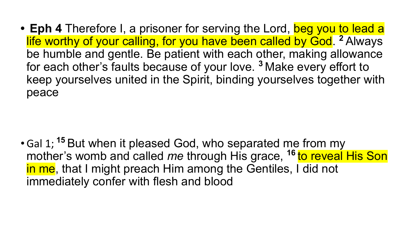• **Eph 4** Therefore I, a prisoner for serving the Lord, beg you to lead a life worthy of your calling, for you have been called by God. **<sup>2</sup>**Always be humble and gentle. Be patient with each other, making allowance for each other's faults because of your love. **<sup>3</sup>**Make every effort to keep yourselves united in the Spirit, binding yourselves together with peace

•Gal 1;**<sup>15</sup>**But when it pleased God, who separated me from my mother's womb and called *me* through His grace, **<sup>16</sup>**to reveal His Son in me, that I might preach Him among the Gentiles, I did not immediately confer with flesh and blood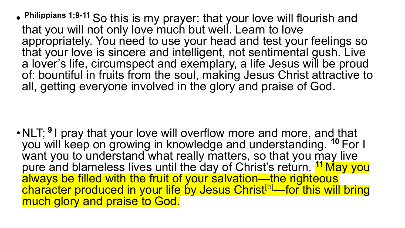**• Philippians 1;9-11** So this is my prayer: that your love will flourish and that you will not only love much but well. Learn to love appropriately. You need to use your head and test your feelings so that your love is sincere and intelligent, not sentimental gush. Live a lover's life, circumspect and exemplary, a life Jesus will be proud of: bountiful in fruits from the soul, making Jesus Christ attractive to all, getting everyone involved in the glory and praise of God.

• NLT; <sup>9</sup> I pray that your love will overflow more and more, and that you will keep on growing in knowledge and understanding. **<sup>10</sup>**For I want you to understand what really matters, so that you may live pure and blameless lives until the day of Christ's return. **<sup>11</sup>**May you always be filled with the fruit of your salvation—the righteous character produced in your life by Jesus Christ<sup>[\[b\]](https://www.biblegateway.com/passage/?search=Philippians+1&version=NLT#fen-NLT-29333b)</sup>—for this will bring much glory and praise to God.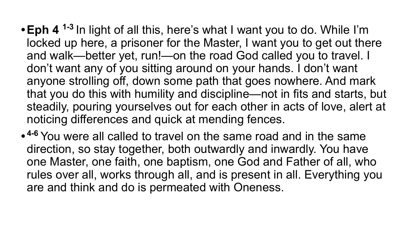- **•Eph 4 1-3** In light of all this, here's what I want you to do. While I'm locked up here, a prisoner for the Master, I want you to get out there and walk—better yet, run!—on the road God called you to travel. I don't want any of you sitting around on your hands. I don't want anyone strolling off, down some path that goes nowhere. And mark that you do this with humility and discipline—not in fits and starts, but steadily, pouring yourselves out for each other in acts of love, alert at noticing differences and quick at mending fences.
- **• 4-6** You were all called to travel on the same road and in the same direction, so stay together, both outwardly and inwardly. You have one Master, one faith, one baptism, one God and Father of all, who rules over all, works through all, and is present in all. Everything you are and think and do is permeated with Oneness.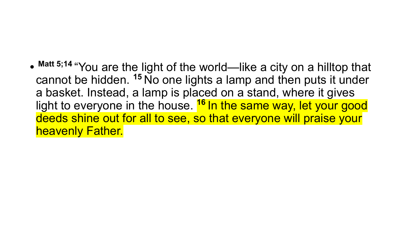• Matt 5;14 "You are the light of the world—like a city on a hilltop that cannot be hidden. **<sup>15</sup>**No one lights a lamp and then puts it under a basket. Instead, a lamp is placed on a stand, where it gives light to everyone in the house. **<sup>16</sup>**In the same way, let your good deeds shine out for all to see, so that everyone will praise your heavenly Father.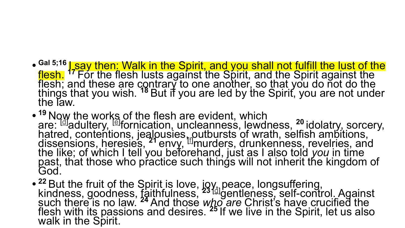- <sup>Gal 5;16</sup> Lsay then: Walk in the Spirit, and you shall not fulfill the lust of the flesh. **<sup>17</sup>**For the flesh lusts against the Spirit, and the Spirit against the flesh; and these are contrary to one another, so that you do not do the things that you wish. **<sup>18</sup>**But if you are led by the Spirit, you are not under the law.
- <sup>19</sup> Now the works of the flesh are evident, which are: [\[d\]](https://www.biblegateway.com/passage/?search=Galatians+5&version=NKJV#fen-NKJV-29182d)adultery, [\[e\]](https://www.biblegateway.com/passage/?search=Galatians+5&version=NKJV#fen-NKJV-29182e) fornication, uncleanness, lewdness, **<sup>20</sup>**idolatry, sorcery, hatred, contentions, jealousies, outbursts of wrath, selfish ambitions, dissensions, heresies, **<sup>21</sup>**envy, [[f\]](https://www.biblegateway.com/passage/?search=Galatians+5&version=NKJV#fen-NKJV-29184f)murders, drunkenness, revelries, and the like; of which I tell you beforehand, just as I also told *you* in time past, that those who practice such things will not inherit the kingdom of God.
- <sup>22</sup> But the fruit of the Spirit is love, joy, peace, longsuffering, kindness, goodness, faithfulness, **<sup>23</sup>**[\[g\]](https://www.biblegateway.com/passage/?search=Galatians+5&version=NKJV#fen-NKJV-29186g)gentleness, self-control. Against such there is no law. **<sup>24</sup>**And those *who are* Christ's have crucified the flesh with its passions and desires. **<sup>25</sup>**If we live in the Spirit, let us also walk in the Spirit.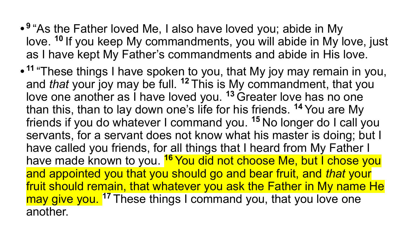- **• <sup>9</sup>**"As the Father loved Me, I also have loved you; abide in My love. <sup>10</sup> If you keep My commandments, you will abide in My love, just as I have kept My Father's commandments and abide in His love.
- **• <sup>11</sup>**"These things I have spoken to you, that My joy may remain in you, and *that* your joy may be full. **<sup>12</sup>**This is My commandment, that you love one another as I have loved you.<sup>13</sup> Greater love has no one than this, than to lay down one's life for his friends. **<sup>14</sup>**You are My friends if you do whatever I command you. **<sup>15</sup>**No longer do I call you servants, for a servant does not know what his master is doing; but I have called you friends, for all things that I heard from My Father I have made known to you. <sup>16</sup> You did not choose Me, but I chose you and appointed you that you should go and bear fruit, and *that* your fruit should remain, that whatever you ask the Father in My name He may give you.<sup>17</sup> These things I command you, that you love one another.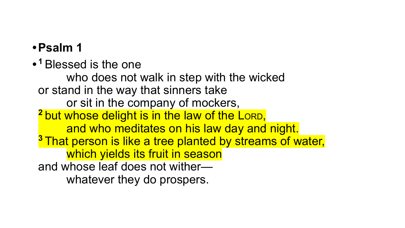## **•Psalm 1**

**• <sup>1</sup>**Blessed is the one

 who does not walk in step with the wicked or stand in the way that sinners take or sit in the company of mockers, <sup>2</sup> but whose delight is in the law of the LORD, and who meditates on his law day and night. **<sup>3</sup>**That person is like a tree planted by streams of water, which yields its fruit in season and whose leaf does not wither whatever they do prospers.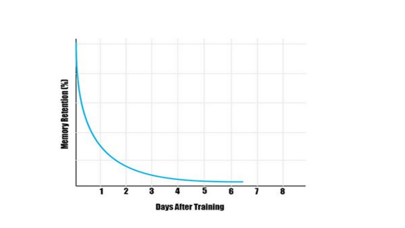